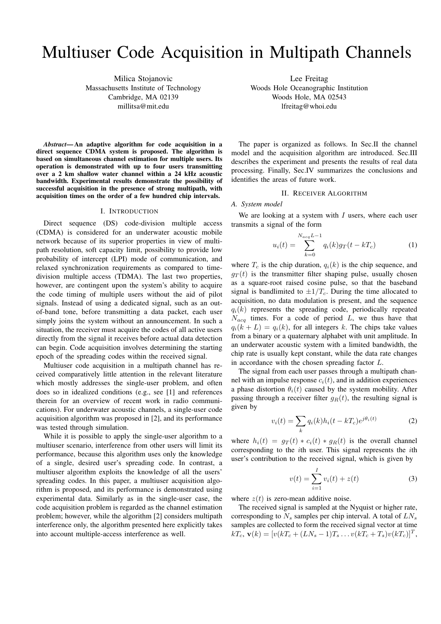# Multiuser Code Acquisition in Multipath Channels

Milica Stojanovic Massachusetts Institute of Technology Cambridge, MA 02139 millitsa@mit.edu

Lee Freitag Woods Hole Oceanographic Institution Woods Hole, MA 02543 lfreitag@whoi.edu

*Abstract***— An adaptive algorithm for code acquisition in a direct sequence CDMA system is proposed. The algorithm is based on simultaneous channel estimation for multiple users. Its operation is demonstrated with up to four users transmitting over a 2 km shallow water channel within a 24 kHz acoustic bandwidth. Experimental results demonstrate the possibility of successful acquisition in the presence of strong multipath, with acquisition times on the order of a few hundred chip intervals.**

## I. INTRODUCTION

Direct sequence (DS) code-division multiple access (CDMA) is considered for an underwater acoustic mobile network because of its superior properties in view of multipath resolution, soft capacity limit, possibility to provide low probability of intercept (LPI) mode of communication, and relaxed synchronization requirements as compared to timedivision multiple access (TDMA). The last two properties, however, are contingent upon the system's ability to acquire the code timing of multiple users without the aid of pilot signals. Instead of using a dedicated signal, such as an outof-band tone, before transmitting a data packet, each user simply joins the system without an announcement. In such a situation, the receiver must acquire the codes of all active users directly from the signal it receives before actual data detection can begin. Code acquisition involves determining the starting epoch of the spreading codes within the received signal.

Multiuser code acquisition in a multipath channel has received comparatively little attention in the relevant literature which mostly addresses the single-user problem, and often does so in idealized conditions (e.g., see [1] and references therein for an overview of recent work in radio communications). For underwater acoustic channels, a single-user code acquisition algorithm was proposed in [2], and its performance was tested through simulation.

While it is possible to apply the single-user algorithm to a multiuser scenario, interference from other users will limit its performance, because this algorithm uses only the knowledge of a single, desired user's spreading code. In contrast, a multiuser algorithm exploits the knowledge of all the users' spreading codes. In this paper, a multiuser acquisition algorithm is proposed, and its performance is demonstrated using experimental data. Similarly as in the single-user case, the code acquisition problem is regarded as the channel estimation problem; however, while the algorithm [2] considers multipath interference only, the algorithm presented here explicitly takes into account multiple-access interference as well.

The paper is organized as follows. In Sec.II the channel model and the acquisition algorithm are introduced. Sec.III describes the experiment and presents the results of real data processing. Finally, Sec.IV summarizes the conclusions and identifies the areas of future work.

#### II. RECEIVER ALGORITHM

#### *A. System model*

We are looking at a system with  $I$  users, where each user transmits a signal of the form

$$
u_i(t) = \sum_{k=0}^{N_{acq}L-1} q_i(k)g_T(t - kT_c)
$$
 (1)

where  $T_c$  is the chip duration,  $q_i(k)$  is the chip sequence, and  $q_T(t)$  is the transmitter filter shaping pulse, usually chosen as a square-root raised cosine pulse, so that the baseband signal is bandlimited to  $\pm 1/T_c$ . During the time allocated to acquisition, no data modulation is present, and the sequence  $q_i(k)$  represents the spreading code, periodically repeated  $N_{acq}$  times. For a code of period L, we thus have that  $q_i(k+L) = q_i(k)$ , for all integers k. The chips take values from a binary or a quaternary alphabet with unit amplitude. In an underwater acoustic system with a limited bandwidth, the chip rate is usually kept constant, while the data rate changes in accordance with the chosen spreading factor L.

The signal from each user passes through a multipath channel with an impulse response  $c_i(t)$ , and in addition experiences a phase distortion  $\theta_i(t)$  caused by the system mobility. After passing through a receiver filter  $g_R(t)$ , the resulting signal is given by

$$
v_i(t) = \sum_k q_i(k)h_i(t - kT_c)e^{j\theta_i(t)}
$$
\n(2)

where  $h_i(t) = g_T(t) * c_i(t) * g_R(t)$  is the overall channel corresponding to the *i*th user. This signal represents the *i*th user's contribution to the received signal, which is given by

$$
v(t) = \sum_{i=1}^{I} v_i(t) + z(t)
$$
 (3)

where  $z(t)$  is zero-mean additive noise.

The received signal is sampled at the Nyquist or higher rate, corresponding to  $N_s$  samples per chip interval. A total of  $LN_s$ samples are collected to form the received signal vector at time  $kT_c$ ,  $\mathbf{v}(k)=[v(kT_c + (LN_s - 1)T_s \dots v(kT_c + T_s)v(kT_c)]^T$ ,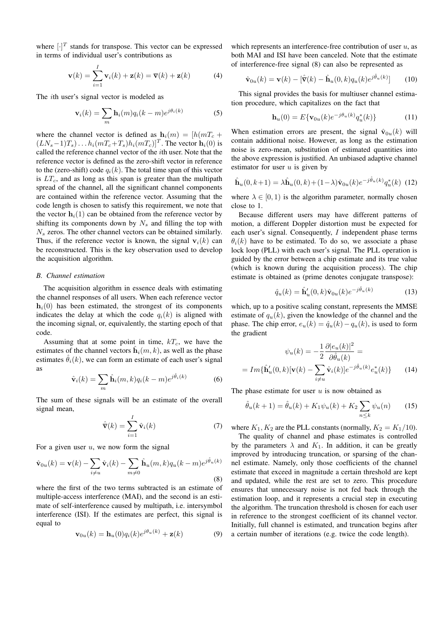where  $[\cdot]^{T}$  stands for transpose. This vector can be expressed in terms of individual user's contributions as

$$
\mathbf{v}(k) = \sum_{i=1}^{I} \mathbf{v}_i(k) + \mathbf{z}(k) = \overline{\mathbf{v}}(k) + \mathbf{z}(k)
$$
 (4)

The ith user's signal vector is modeled as

$$
\mathbf{v}_i(k) = \sum_m \mathbf{h}_i(m) q_i(k-m) e^{j\theta_i(k)}
$$
(5)

where the channel vector is defined as  $h_i(m)=[h(mT_c +$  $(LN_s-1)T_s$ )...h<sub>i</sub> $(mT_c+T_s)h_i(mT_c)$ <sup>T</sup>. The vector **h**<sub>i</sub>(0) is called the reference channel vector of the ith user. Note that the reference vector is defined as the zero-shift vector in reference to the (zero-shift) code  $q_i(k)$ . The total time span of this vector is  $LT_c$ , and as long as this span is greater than the multipath spread of the channel, all the significant channel components are contained within the reference vector. Assuming that the code length is chosen to satisfy this requirement, we note that the vector  $\mathbf{h}_i(1)$  can be obtained from the reference vector by shifting its components down by  $N_s$  and filling the top with  $N<sub>s</sub>$  zeros. The other channel vectors can be obtained similarly. Thus, if the reference vector is known, the signal  $v_i(k)$  can be reconstructed. This is the key observation used to develop the acquisition algorithm.

#### *B. Channel estimation*

The acquisition algorithm in essence deals with estimating the channel responses of all users. When each reference vector  $h_i(0)$  has been estimated, the strongest of its components indicates the delay at which the code  $q_i(k)$  is aligned with the incoming signal, or, equivalently, the starting epoch of that code.

Assuming that at some point in time,  $kT_c$ , we have the estimates of the channel vectors  $\mathbf{h}_i(m, k)$ , as well as the phase estimates  $\hat{\theta}_i(k)$ , we can form an estimate of each user's signal as

$$
\hat{\mathbf{v}}_i(k) = \sum_m \hat{\mathbf{h}}_i(m,k) q_i(k-m) e^{j\hat{\theta}_i(k)}
$$
(6)

The sum of these signals will be an estimate of the overall signal mean,

$$
\hat{\overline{\mathbf{v}}}(k) = \sum_{i=1}^{I} \hat{\mathbf{v}}_i(k)
$$
\n(7)

For a given user  $u$ , we now form the signal

$$
\hat{\mathbf{v}}_{0u}(k) = \mathbf{v}(k) - \sum_{i \neq u} \hat{\mathbf{v}}_i(k) - \sum_{m \neq 0} \hat{\mathbf{h}}_u(m,k) q_u(k-m) e^{j\hat{\theta}_u(k)}
$$
\n(8)

where the first of the two terms subtracted is an estimate of multiple-access interference (MAI), and the second is an estimate of self-interference caused by multipath, i.e. intersymbol interference (ISI). If the estimates are perfect, this signal is equal to

$$
\mathbf{v}_{0u}(k) = \mathbf{h}_u(0) q_i(k) e^{j\theta_u(k)} + \mathbf{z}(k)
$$
 (9)

which represents an interference-free contribution of user  $u$ , as both MAI and ISI have been canceled. Note that the estimate of interference-free signal (8) can also be represented as

$$
\hat{\mathbf{v}}_{0u}(k) = \mathbf{v}(k) - [\hat{\overline{\mathbf{v}}}(k) - \hat{\mathbf{h}}_u(0,k)q_u(k)e^{j\hat{\theta}_u(k)}]
$$
(10)

This signal provides the basis for multiuser channel estimation procedure, which capitalizes on the fact that

$$
\mathbf{h}_{u}(0) = E\{\mathbf{v}_{0u}(k)e^{-j\theta_{u}(k)}q_{u}^{*}(k)\}\qquad (11)
$$

When estimation errors are present, the signal  $\hat{\mathbf{v}}_{0u}(k)$  will contain additional noise. However, as long as the estimation noise is zero-mean, substitution of estimated quantities into the above expression is justified. An unbiased adaptive channel estimator for user  $u$  is given by

$$
\hat{\mathbf{h}}_u(0,k+1) = \lambda \hat{\mathbf{h}}_u(0,k) + (1-\lambda)\hat{\mathbf{v}}_{0u}(k)e^{-j\hat{\theta}_u(k)}q_u^*(k)
$$
 (12)

where  $\lambda \in [0, 1)$  is the algorithm parameter, normally chosen close to 1.

Because different users may have different patterns of motion, a different Doppler distortion must be expected for each user's signal. Consequently, I independent phase terms  $\theta_i(k)$  have to be estimated. To do so, we associate a phase lock loop (PLL) with each user's signal. The PLL operation is guided by the error between a chip estimate and its true value (which is known during the acquisition process). The chip estimate is obtained as (prime denotes conjugate transpose):

$$
\hat{q}_u(k) = \hat{\mathbf{h}}'_u(0,k)\hat{\mathbf{v}}_{0u}(k)e^{-j\hat{\theta}_u(k)}
$$
(13)

which, up to a positive scaling constant, represents the MMSE estimate of  $q_u(k)$ , given the knowledge of the channel and the phase. The chip error,  $e_u(k) = \hat{q}_u(k) - q_u(k)$ , is used to form the gradient

$$
\psi_u(k) = -\frac{1}{2} \frac{\partial |e_u(k)|^2}{\partial \hat{\theta}_u(k)} =
$$

$$
= Im\{\hat{\mathbf{h}}'_u(0,k)[\mathbf{v}(k) - \sum_{i \neq u} \hat{\mathbf{v}}_i(k)]e^{-j\hat{\theta}_u(k)}e_u^*(k)\} \qquad (14)
$$

The phase estimate for user  $u$  is now obtained as

$$
\hat{\theta}_u(k+1) = \hat{\theta}_u(k) + K_1 \psi_u(k) + K_2 \sum_{n \le k} \psi_u(n) \tag{15}
$$

where  $K_1, K_2$  are the PLL constants (normally,  $K_2 = K_1/10$ ).

The quality of channel and phase estimates is controlled by the parameters  $\lambda$  and  $K_1$ . In addition, it can be greatly improved by introducing truncation, or sparsing of the channel estimate. Namely, only those coefficients of the channel estimate that exceed in magnitude a certain threshold are kept and updated, while the rest are set to zero. This procedure ensures that unnecessary noise is not fed back through the estimation loop, and it represents a crucial step in executing the algorithm. The truncation threshold is chosen for each user in reference to the strongest coefficient of its channel vector. Initially, full channel is estimated, and truncation begins after a certain number of iterations (e.g. twice the code length).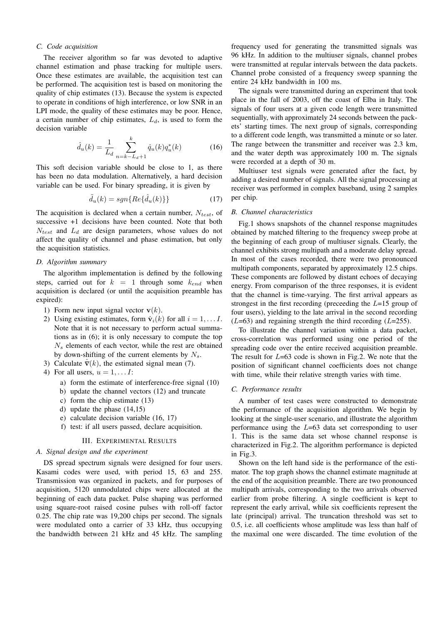# *C. Code acquisition*

The receiver algorithm so far was devoted to adaptive channel estimation and phase tracking for multiple users. Once these estimates are available, the acquisition test can be performed. The acquisition test is based on monitoring the quality of chip estimates (13). Because the system is expected to operate in conditions of high interference, or low SNR in an LPI mode, the quality of these estimates may be poor. Hence, a certain number of chip estimates,  $L_d$ , is used to form the decision variable

$$
\hat{d}_u(k) = \frac{1}{L_d} \sum_{n=k-L_d+1}^k \hat{q}_u(k) q_u^*(k)
$$
 (16)

This soft decision variable should be close to 1, as there has been no data modulation. Alternatively, a hard decision variable can be used. For binary spreading, it is given by

$$
\tilde{d}_u(k) = sgn\{Re\{\hat{d}_u(k)\}\}\tag{17}
$$

The acquisition is declared when a certain number,  $N_{test}$ , of successive +1 decisions have been counted. Note that both  $N_{test}$  and  $L_d$  are design parameters, whose values do not affect the quality of channel and phase estimation, but only the acquisition statistics.

# *D. Algorithm summary*

The algorithm implementation is defined by the following steps, carried out for  $k = 1$  through some  $k_{end}$  when acquisition is declared (or until the acquisition preamble has expired):

- 1) Form new input signal vector  $\mathbf{v}(k)$ .
- 2) Using existing estimates, form  $\hat{\mathbf{v}}_i(k)$  for all  $i = 1, \ldots I$ . Note that it is not necessary to perform actual summations as in (6); it is only necessary to compute the top  $N<sub>s</sub>$  elements of each vector, while the rest are obtained by down-shifting of the current elements by  $N_s$ .
- 3) Calculate  $\hat{\mathbf{v}}(k)$ , the estimated signal mean (7).
- 4) For all users,  $u = 1, \ldots I$ :
	- a) form the estimate of interference-free signal (10)
	- b) update the channel vectors (12) and truncate
	- c) form the chip estimate (13)
	- d) update the phase (14,15)
	- e) calculate decision variable (16, 17)
	- f) test: if all users passed, declare acquisition.

#### III. EXPERIMENTAL RESULTS

#### *A. Signal design and the experiment*

DS spread spectrum signals were designed for four users. Kasami codes were used, with period 15, 63 and 255. Transmission was organized in packets, and for purposes of acquisition, 5120 unmodulated chips were allocated at the beginning of each data packet. Pulse shaping was performed using square-root raised cosine pulses with roll-off factor 0.25. The chip rate was 19,200 chips per second. The signals were modulated onto a carrier of 33 kHz, thus occupying the bandwidth between 21 kHz and 45 kHz. The sampling frequency used for generating the transmitted signals was 96 kHz. In addition to the multiuser signals, channel probes were transmitted at regular intervals between the data packets. Channel probe consisted of a frequency sweep spanning the entire 24 kHz bandwidth in 100 ms.

The signals were transmitted during an experiment that took place in the fall of 2003, off the coast of Elba in Italy. The signals of four users at a given code length were transmitted sequentially, with approximately 24 seconds between the packets' starting times. The next group of signals, corresponding to a different code length, was transmitted a minute or so later. The range between the transmitter and receiver was 2.3 km, and the water depth was approximately 100 m. The signals were recorded at a depth of 30 m.

Multiuser test signals were generated after the fact, by adding a desired number of signals. All the signal processing at receiver was performed in complex baseband, using 2 samples per chip.

# *B. Channel characteristics*

Fig.1 shows snapshots of the channel response magnitudes obtained by matched filtering to the frequency sweep probe at the beginning of each group of multiuser signals. Clearly, the channel exhibits strong multipath and a moderate delay spread. In most of the cases recorded, there were two pronounced multipath components, separated by approximately 12.5 chips. These components are followed by distant echoes of decaying energy. From comparison of the three responses, it is evident that the channel is time-varying. The first arrival appears as strongest in the first recording (preceeding the  $L=15$  group of four users), yielding to the late arrival in the second recording  $(L=63)$  and regaining strength the third recording  $(L=255)$ .

To illustrate the channel variation within a data packet, cross-correlation was performed using one period of the spreading code over the entire received acquisition preamble. The result for  $L=63$  code is shown in Fig.2. We note that the position of significant channel coefficients does not change with time, while their relative strength varies with time.

## *C. Performance results*

A number of test cases were constructed to demonstrate the performance of the acquisition algorithm. We begin by looking at the single-user scenario, and illustrate the algorithm performance using the  $L=63$  data set corresponding to user 1. This is the same data set whose channel response is characterized in Fig.2. The algorithm performance is depicted in Fig.3.

Shown on the left hand side is the performance of the estimator. The top graph shows the channel estimate magnitude at the end of the acquisition preamble. There are two pronounced multipath arrivals, corresponding to the two arrivals observed earlier from probe filtering. A single coefficient is kept to represent the early arrival, while six coefficients represent the late (principal) arrival. The truncation threshold was set to 0.5, i.e. all coefficients whose amplitude was less than half of the maximal one were discarded. The time evolution of the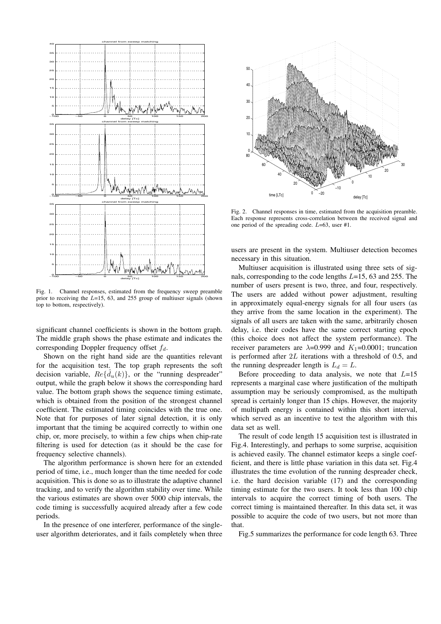

Fig. 1. Channel responses, estimated from the frequency sweep preamble prior to receiving the *L*=15, 63, and 255 group of multiuser signals (shown top to bottom, respectively).

significant channel coefficients is shown in the bottom graph. The middle graph shows the phase estimate and indicates the corresponding Doppler frequency offset  $f_d$ .

Shown on the right hand side are the quantities relevant for the acquisition test. The top graph represents the soft decision variable,  $Re{\hat{d}_u(k)}$ , or the "running despreader" output, while the graph below it shows the corresponding hard value. The bottom graph shows the sequence timing estimate, which is obtained from the position of the strongest channel coefficient. The estimated timing coincides with the true one. Note that for purposes of later signal detection, it is only important that the timing be acquired correctly to within one chip, or, more precisely, to within a few chips when chip-rate filtering is used for detection (as it should be the case for frequency selective channels).

The algorithm performance is shown here for an extended period of time, i.e., much longer than the time needed for code acquisition. This is done so as to illustrate the adaptive channel tracking, and to verify the algorithm stability over time. While the various estimates are shown over 5000 chip intervals, the code timing is successfully acquired already after a few code periods.

In the presence of one interferer, performance of the singleuser algorithm deteriorates, and it fails completely when three



Fig. 2. Channel responses in time, estimated from the acquisition preamble. Each response represents cross-correlation between the received signal and one period of the spreading code. *L*=63, user #1.

users are present in the system. Multiuser detection becomes necessary in this situation.

Multiuser acquisition is illustrated using three sets of signals, corresponding to the code lengths  $L=15$ , 63 and 255. The number of users present is two, three, and four, respectively. The users are added without power adjustment, resulting in approximately equal-energy signals for all four users (as they arrive from the same location in the experiment). The signals of all users are taken with the same, arbitrarily chosen delay, i.e. their codes have the same correct starting epoch (this choice does not affect the system performance). The receiver parameters are  $\lambda$ =0.999 and  $K_1$ =0.0001; truncation is performed after  $2L$  iterations with a threshold of 0.5, and the running despreader length is  $L_d = L$ .

Before proceeding to data analysis, we note that  $L=15$ represents a marginal case where justification of the multipath assumption may be seriously compromised, as the multipath spread is certainly longer than 15 chips. However, the majority of multipath energy is contained within this short interval, which served as an incentive to test the algorithm with this data set as well.

The result of code length 15 acquisition test is illustrated in Fig.4. Interestingly, and perhaps to some surprise, acquisition is achieved easily. The channel estimator keeps a single coefficient, and there is little phase variation in this data set. Fig.4 illustrates the time evolution of the running despreader check, i.e. the hard decision variable (17) and the corresponding timing estimate for the two users. It took less than 100 chip intervals to acquire the correct timing of both users. The correct timing is maintained thereafter. In this data set, it was possible to acquire the code of two users, but not more than that.

Fig.5 summarizes the performance for code length 63. Three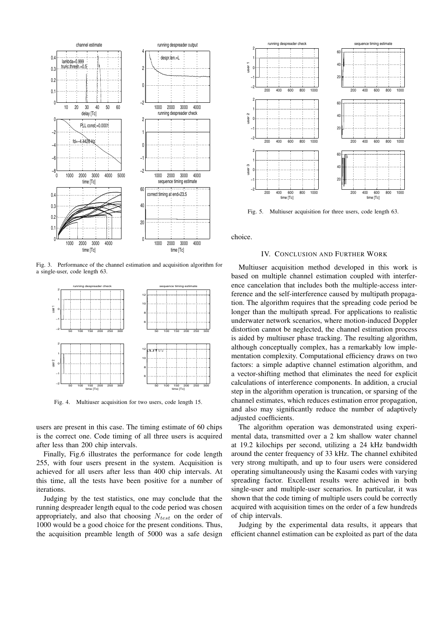

Fig. 3. Performance of the channel estimation and acquisition algorithm for a single-user, code length 63.



Fig. 4. Multiuser acquisition for two users, code length 15.

users are present in this case. The timing estimate of 60 chips is the correct one. Code timing of all three users is acquired after less than 200 chip intervals.

Finally, Fig.6 illustrates the performance for code length 255, with four users present in the system. Acquisition is achieved for all users after less than 400 chip intervals. At this time, all the tests have been positive for a number of iterations.

Judging by the test statistics, one may conclude that the running despreader length equal to the code period was chosen appropriately, and also that choosing  $N_{test}$  on the order of 1000 would be a good choice for the present conditions. Thus, the acquisition preamble length of 5000 was a safe design



Fig. 5. Multiuser acquisition for three users, code length 63.

choice.

## IV. CONCLUSION AND FURTHER WORK

Multiuser acquisition method developed in this work is based on multiple channel estimation coupled with interference cancelation that includes both the multiple-access interference and the self-interference caused by multipath propagation. The algorithm requires that the spreading code period be longer than the multipath spread. For applications to realistic underwater network scenarios, where motion-induced Doppler distortion cannot be neglected, the channel estimation process is aided by multiuser phase tracking. The resulting algorithm, although conceptually complex, has a remarkably low implementation complexity. Computational efficiency draws on two factors: a simple adaptive channel estimation algorithm, and a vector-shifting method that eliminates the need for explicit calculations of interference components. In addition, a crucial step in the algorithm operation is truncation, or sparsing of the channel estimates, which reduces estimation error propagation, and also may significantly reduce the number of adaptively adjusted coefficients.

The algorithm operation was demonstrated using experimental data, transmitted over a 2 km shallow water channel at 19.2 kilochips per second, utilizing a 24 kHz bandwidth around the center frequency of 33 kHz. The channel exhibited very strong multipath, and up to four users were considered operating simultaneously using the Kasami codes with varying spreading factor. Excellent results were achieved in both single-user and multiple-user scenarios. In particular, it was shown that the code timing of multiple users could be correctly acquired with acquisition times on the order of a few hundreds of chip intervals.

Judging by the experimental data results, it appears that efficient channel estimation can be exploited as part of the data